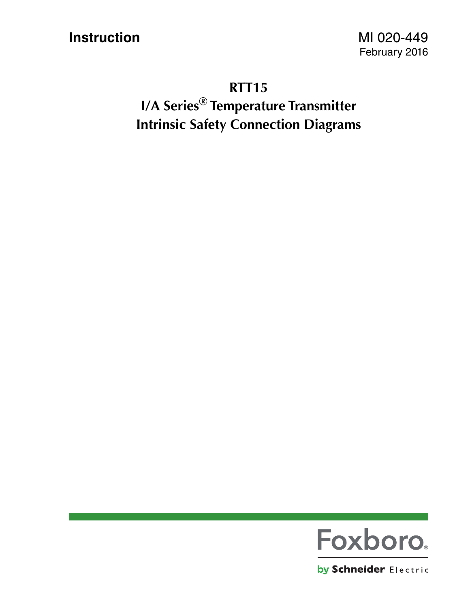**Instruction** MI 020-449

#### **RTT15**

**I/A Series® Temperature Transmitter Intrinsic Safety Connection Diagrams**



by Schneider Electric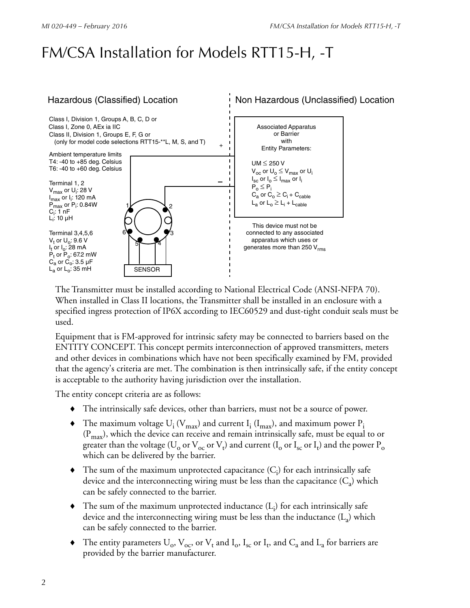## FM/CSA Installation for Models RTT15-H, -T



The Transmitter must be installed according to National Electrical Code (ANSI-NFPA 70). When installed in Class II locations, the Transmitter shall be installed in an enclosure with a specified ingress protection of IP6X according to IEC60529 and dust-tight conduit seals must be used.

Equipment that is FM-approved for intrinsic safety may be connected to barriers based on the ENTITY CONCEPT. This concept permits interconnection of approved transmitters, meters and other devices in combinations which have not been specifically examined by FM, provided that the agency's criteria are met. The combination is then intrinsically safe, if the entity concept is acceptable to the authority having jurisdiction over the installation.

The entity concept criteria are as follows:

- The intrinsically safe devices, other than barriers, must not be a source of power.
- $\blacklozenge$  The maximum voltage  $U_i$  ( $V_{max}$ ) and current  $I_i$  ( $I_{max}$ ), and maximum power  $P_i$  $(P<sub>max</sub>)$ , which the device can receive and remain intrinsically safe, must be equal to or greater than the voltage (U<sub>0</sub> or V<sub>0C</sub> or V<sub>t</sub>) and current (I<sub>0</sub> or I<sub>sc</sub> or I<sub>t</sub>) and the power P<sub>0</sub> which can be delivered by the barrier.
- $\blacklozenge$  The sum of the maximum unprotected capacitance  $(C_i)$  for each intrinsically safe device and the interconnecting wiring must be less than the capacitance  $(C_a)$  which can be safely connected to the barrier.
- $\blacklozenge$  The sum of the maximum unprotected inductance  $(L_i)$  for each intrinsically safe device and the interconnecting wiring must be less than the inductance  $(L_a)$  which can be safely connected to the barrier.
- $\bullet$  The entity parameters  $U_o$ ,  $V_{oc}$ , or  $V_t$  and  $I_o$ ,  $I_{sc}$  or  $I_t$ , and  $C_a$  and  $L_a$  for barriers are provided by the barrier manufacturer.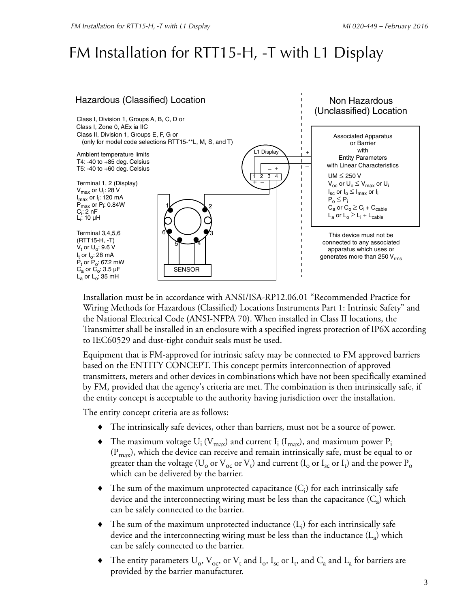## FM Installation for RTT15-H, -T with L1 Display



Installation must be in accordance with ANSI/ISA-RP12.06.01 "Recommended Practice for Wiring Methods for Hazardous (Classified) Locations Instruments Part 1: Intrinsic Safety" and the National Electrical Code (ANSI-NFPA 70). When installed in Class II locations, the Transmitter shall be installed in an enclosure with a specified ingress protection of IP6X according to IEC60529 and dust-tight conduit seals must be used.

Equipment that is FM-approved for intrinsic safety may be connected to FM approved barriers based on the ENTITY CONCEPT. This concept permits interconnection of approved transmitters, meters and other devices in combinations which have not been specifically examined by FM, provided that the agency's criteria are met. The combination is then intrinsically safe, if the entity concept is acceptable to the authority having jurisdiction over the installation.

The entity concept criteria are as follows:

- The intrinsically safe devices, other than barriers, must not be a source of power.
- $\blacklozenge$  The maximum voltage  $U_i$  ( $V_{max}$ ) and current  $I_i$  ( $I_{max}$ ), and maximum power  $P_i$  $(P<sub>max</sub>)$ , which the device can receive and remain intrinsically safe, must be equal to or greater than the voltage (U<sub>0</sub> or V<sub>0C</sub> or V<sub>t</sub>) and current (I<sub>0</sub> or I<sub>sc</sub> or I<sub>t</sub>) and the power P<sub>0</sub> which can be delivered by the barrier.
- $\blacklozenge$  The sum of the maximum unprotected capacitance  $(C_i)$  for each intrinsically safe device and the interconnecting wiring must be less than the capacitance  $(C_{a})$  which can be safely connected to the barrier.
- $\blacklozenge$  The sum of the maximum unprotected inductance  $(L_i)$  for each intrinsically safe device and the interconnecting wiring must be less than the inductance  $(L_a)$  which can be safely connected to the barrier.
- $\bullet$  The entity parameters  $U_o$ ,  $V_{oc}$ , or  $V_t$  and  $I_o$ ,  $I_{sc}$  or  $I_t$ , and  $C_a$  and  $L_a$  for barriers are provided by the barrier manufacturer.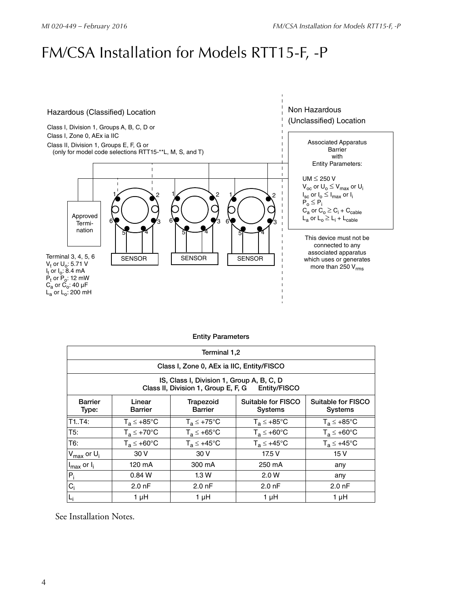### FM/CSA Installation for Models RTT15-F, -P



|  | <b>Entity Parameters</b> |
|--|--------------------------|
|--|--------------------------|

| Terminal 1,2                                                                                  |                          |                             |                               |                                      |  |  |
|-----------------------------------------------------------------------------------------------|--------------------------|-----------------------------|-------------------------------|--------------------------------------|--|--|
| Class I, Zone 0, AEx ia IIC, Entity/FISCO                                                     |                          |                             |                               |                                      |  |  |
| IS, Class I, Division 1, Group A, B, C, D<br>Class II, Division 1, Group E, F, G Entity/FISCO |                          |                             |                               |                                      |  |  |
| <b>Barrier</b><br>Type:                                                                       | Linear<br><b>Barrier</b> | Trapezoid<br><b>Barrier</b> | Suitable for FISCO<br>Systems | Suitable for FISCO<br><b>Systems</b> |  |  |
| T1.74:                                                                                        | $T_a \leq +85^{\circ}$ C | $T_a \leq +75^{\circ}C$     | $T_a \leq +85^{\circ}$ C      | $T_a \leq +85^{\circ}$ C             |  |  |
| T5:                                                                                           | $T_a \leq +70^{\circ}C$  | $T_a \leq +65^{\circ}C$     | $T_a \leq +60^{\circ}C$       | $T_a \leq +60^{\circ}C$              |  |  |
| T6:                                                                                           | $T_a \leq +60^{\circ}C$  | $T_a \leq +45^{\circ}C$     | $T_a \leq +45^{\circ}$ C      | $T_a \leq +45^{\circ}C$              |  |  |
| $V_{\text{max}}$ or $U_i$                                                                     | 30 V                     | 30 V                        | 17.5 V                        | 15 V                                 |  |  |
| $I_{max}$ or $I_i$                                                                            | 120 mA                   | 300 mA                      | 250 mA                        | any                                  |  |  |
| $P_i$                                                                                         | 0.84W                    | 1.3W                        | 2.0 W                         | any                                  |  |  |
| $C_i$                                                                                         | 2.0 <sub>nP</sub>        | $2.00$ nF                   | $2.00$ nF                     | $2.0 \text{ nF}$                     |  |  |
| $L_i$                                                                                         | $1 \mu H$                | 1 µH                        | 1 µH                          | 1 µH                                 |  |  |

See Installation Notes.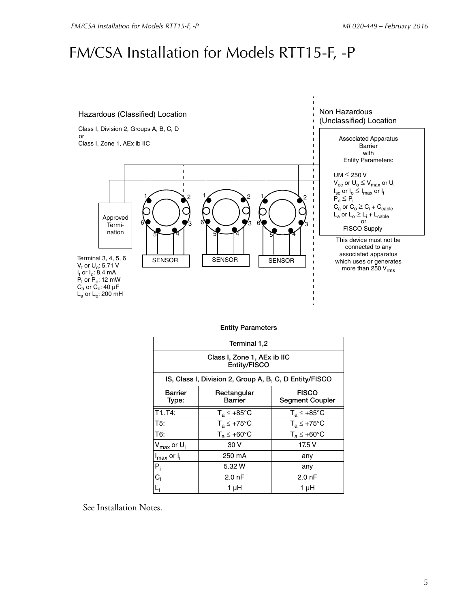## FM/CSA Installation for Models RTT15-F, -P



| 1,2 Terminal                                           |                               |                                        |  |  |  |
|--------------------------------------------------------|-------------------------------|----------------------------------------|--|--|--|
| Class I, Zone 1, AEx ib IIC<br>Entity/FISCO            |                               |                                        |  |  |  |
| IS, Class I, Division 2, Group A, B, C, D Entity/FISCO |                               |                                        |  |  |  |
| <b>Barrier</b><br>Type:                                | Rectangular<br><b>Barrier</b> | <b>FISCO</b><br><b>Segment Coupler</b> |  |  |  |
| $\overline{T}1.74$ :                                   | $T_a \leq +85^{\circ}$ C      | $T_a \leq +85^{\circ}$ C               |  |  |  |
| T5:                                                    | $T_a \leq +75^{\circ}$ C      | $T_a \leq +75^{\circ}$ C               |  |  |  |
| T6:                                                    | $T_a \leq +60^{\circ}$ C      | $T_a \leq +60^{\circ}$ C               |  |  |  |
| V <sub>max</sub> or U <sub>i</sub>                     | 30 V                          | 17.5 V                                 |  |  |  |
| $I_{max}$ or $I_i$                                     | 250 mA                        | any                                    |  |  |  |
| $P_i$                                                  | 5.32 W                        | any                                    |  |  |  |
| $C_i$                                                  | $2.0 \text{ nF}$              | $2.0 \text{ nF}$                       |  |  |  |
|                                                        | 1 µH                          | 1 µH                                   |  |  |  |

See Installation Notes.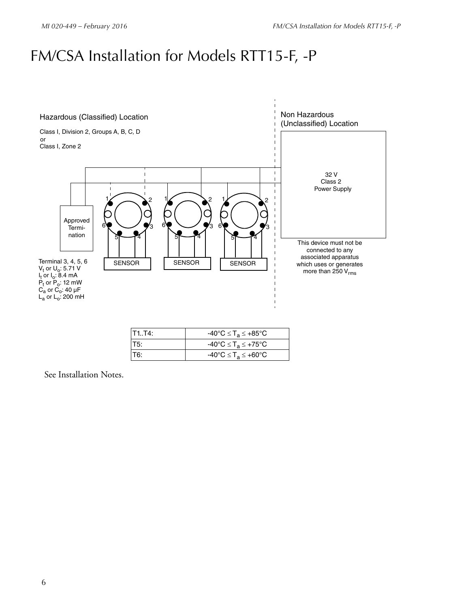## FM/CSA Installation for Models RTT15-F, -P



| T1.T4:  | $-40^{\circ}$ C $\leq$ T <sub>a</sub> $\leq$ +85°C            |
|---------|---------------------------------------------------------------|
| IT5:    | $-40^{\circ}$ C $\leq$ T <sub>a</sub> $\leq$ +75 $^{\circ}$ C |
| $1$ T6: | $-40^{\circ}$ C $\leq$ T <sub>a</sub> $\leq$ +60 $^{\circ}$ C |

See Installation Notes.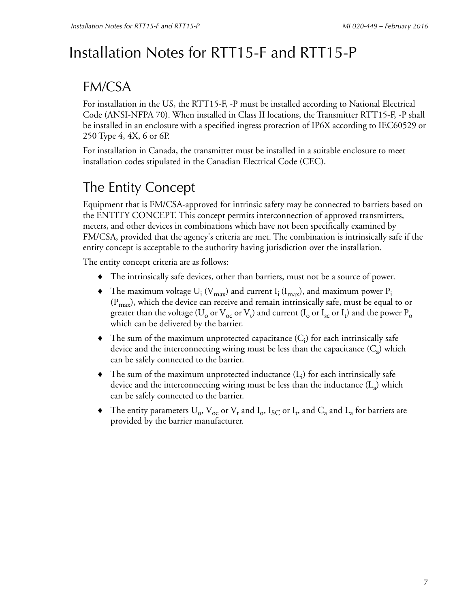# Installation Notes for RTT15-F and RTT15-P

#### FM/CSA

For installation in the US, the RTT15-F, -P must be installed according to National Electrical Code (ANSI-NFPA 70). When installed in Class II locations, the Transmitter RTT15-F, -P shall be installed in an enclosure with a specified ingress protection of IP6X according to IEC60529 or 250 Type 4, 4X, 6 or 6P.

For installation in Canada, the transmitter must be installed in a suitable enclosure to meet installation codes stipulated in the Canadian Electrical Code (CEC).

### The Entity Concept

Equipment that is FM/CSA-approved for intrinsic safety may be connected to barriers based on the ENTITY CONCEPT. This concept permits interconnection of approved transmitters, meters, and other devices in combinations which have not been specifically examined by FM/CSA, provided that the agency's criteria are met. The combination is intrinsically safe if the entity concept is acceptable to the authority having jurisdiction over the installation.

The entity concept criteria are as follows:

- The intrinsically safe devices, other than barriers, must not be a source of power.
- $\blacklozenge$  The maximum voltage U<sub>i</sub> (V<sub>max</sub>) and current I<sub>i</sub> (I<sub>max</sub>), and maximum power P<sub>i</sub>  $(P<sub>max</sub>)$ , which the device can receive and remain intrinsically safe, must be equal to or greater than the voltage (U<sub>0</sub> or V<sub>oc</sub> or V<sub>t</sub>) and current (I<sub>0</sub> or I<sub>sc</sub> or I<sub>t</sub>) and the power P<sub>0</sub> which can be delivered by the barrier.
- $\blacklozenge$  The sum of the maximum unprotected capacitance  $(C_i)$  for each intrinsically safe device and the interconnecting wiring must be less than the capacitance  $(C_a)$  which can be safely connected to the barrier.
- $\blacklozenge$  The sum of the maximum unprotected inductance  $(L_i)$  for each intrinsically safe device and the interconnecting wiring must be less than the inductance  $(L_2)$  which can be safely connected to the barrier.
- $\bullet$  The entity parameters  $U_o$ ,  $V_{oc}$  or  $V_t$  and  $I_o$ ,  $I_{SC}$  or  $I_t$ , and  $C_a$  and  $L_a$  for barriers are provided by the barrier manufacturer.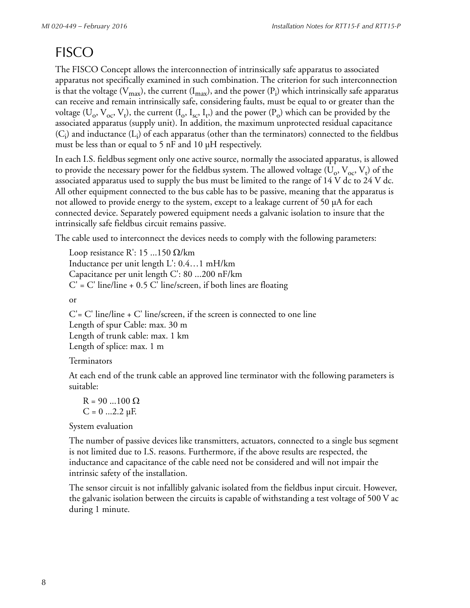### **FISCO**

The FISCO Concept allows the interconnection of intrinsically safe apparatus to associated apparatus not specifically examined in such combination. The criterion for such interconnection is that the voltage (V<sub>max</sub>), the current (I<sub>max</sub>), and the power (P<sub>i</sub>) which intrinsically safe apparatus can receive and remain intrinsically safe, considering faults, must be equal to or greater than the voltage ( $U_o$ ,  $V_{oc}$ ,  $V_t$ ), the current (I<sub>o</sub>, I<sub>sc</sub>, I<sub>t</sub>,) and the power (P<sub>o</sub>) which can be provided by the associated apparatus (supply unit). In addition, the maximum unprotected residual capacitance  $(C_i)$  and inductance  $(L_i)$  of each apparatus (other than the terminators) connected to the fieldbus must be less than or equal to 5 nF and 10 µH respectively.

In each I.S. fieldbus segment only one active source, normally the associated apparatus, is allowed to provide the necessary power for the fieldbus system. The allowed voltage  $(U_o, V_{oc}, V_t)$  of the associated apparatus used to supply the bus must be limited to the range of 14 V dc to 24 V dc. All other equipment connected to the bus cable has to be passive, meaning that the apparatus is not allowed to provide energy to the system, except to a leakage current of 50 µA for each connected device. Separately powered equipment needs a galvanic isolation to insure that the intrinsically safe fieldbus circuit remains passive.

The cable used to interconnect the devices needs to comply with the following parameters:

Loop resistance R: 15 ...150  $\Omega$ /km Inductance per unit length L': 0.4…1 mH/km Capacitance per unit length C': 80 ...200 nF/km  $C'$  = C' line/line + 0.5 C' line/screen, if both lines are floating

or

 $C = C'$  line/line  $+ C'$  line/screen, if the screen is connected to one line Length of spur Cable: max. 30 m Length of trunk cable: max. 1 km Length of splice: max. 1 m

#### Terminators

At each end of the trunk cable an approved line terminator with the following parameters is suitable:

 $R = 90$  ...100  $\Omega$  $C = 0$  ...2.2  $\mu F$ .

System evaluation

The number of passive devices like transmitters, actuators, connected to a single bus segment is not limited due to I.S. reasons. Furthermore, if the above results are respected, the inductance and capacitance of the cable need not be considered and will not impair the intrinsic safety of the installation.

The sensor circuit is not infallibly galvanic isolated from the fieldbus input circuit. However, the galvanic isolation between the circuits is capable of withstanding a test voltage of 500 V ac during 1 minute.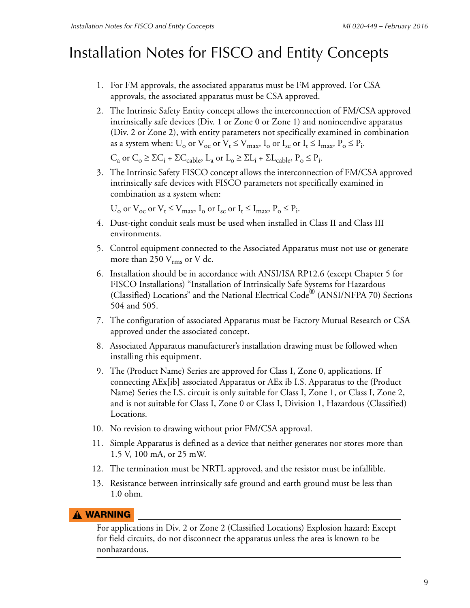#### Installation Notes for FISCO and Entity Concepts

- 1. For FM approvals, the associated apparatus must be FM approved. For CSA approvals, the associated apparatus must be CSA approved.
- 2. The Intrinsic Safety Entity concept allows the interconnection of FM/CSA approved intrinsically safe devices (Div. 1 or Zone 0 or Zone 1) and nonincendive apparatus (Div. 2 or Zone 2), with entity parameters not specifically examined in combination as a system when:  $U_o$  or  $V_{oc}$  or  $V_t \leq V_{max}$ ,  $I_o$  or  $I_{sc}$  or  $I_t \leq I_{max}$ ,  $P_o \leq P_i$ .

 $C_a$  or  $C_o \geq \Sigma C_i + \Sigma C_{cable}$ ,  $L_a$  or  $L_o \geq \Sigma L_i + \Sigma L_{cable}$ ,  $P_o \leq P_i$ .

3. The Intrinsic Safety FISCO concept allows the interconnection of FM/CSA approved intrinsically safe devices with FISCO parameters not specifically examined in combination as a system when:

 $U_o$  or  $V_{oc}$  or  $V_t \leq V_{max}$ ,  $I_o$  or  $I_{sc}$  or  $I_t \leq I_{max}$ ,  $P_o \leq P_i$ .

- 4. Dust-tight conduit seals must be used when installed in Class II and Class III environments.
- 5. Control equipment connected to the Associated Apparatus must not use or generate more than 250  $V_{\rm rms}$  or V dc.
- 6. Installation should be in accordance with ANSI/ISA RP12.6 (except Chapter 5 for FISCO Installations) "Installation of Intrinsically Safe Systems for Hazardous (Classified) Locations" and the National Electrical Code® (ANSI/NFPA 70) Sections 504 and 505.
- 7. The configuration of associated Apparatus must be Factory Mutual Research or CSA approved under the associated concept.
- 8. Associated Apparatus manufacturer's installation drawing must be followed when installing this equipment.
- 9. The (Product Name) Series are approved for Class I, Zone 0, applications. If connecting AEx[ib] associated Apparatus or AEx ib I.S. Apparatus to the (Product Name) Series the I.S. circuit is only suitable for Class I, Zone 1, or Class I, Zone 2, and is not suitable for Class I, Zone 0 or Class I, Division 1, Hazardous (Classified) Locations.
- 10. No revision to drawing without prior FM/CSA approval.
- 11. Simple Apparatus is defined as a device that neither generates nor stores more than 1.5 V, 100 mA, or 25 mW.
- 12. The termination must be NRTL approved, and the resistor must be infallible.
- 13. Resistance between intrinsically safe ground and earth ground must be less than 1.0 ohm.

#### **!** WARNING

For applications in Div. 2 or Zone 2 (Classified Locations) Explosion hazard: Except for field circuits, do not disconnect the apparatus unless the area is known to be nonhazardous.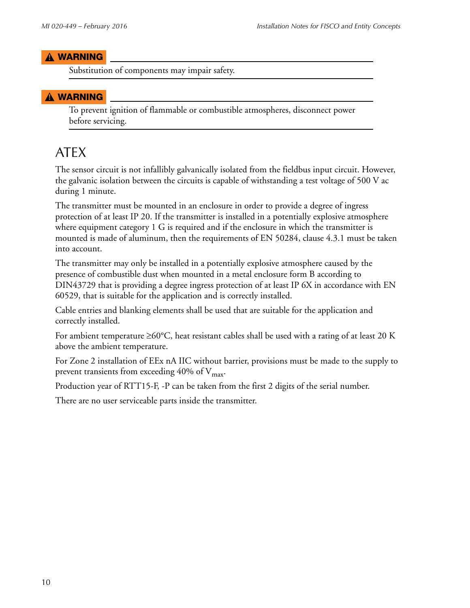#### **!** WARNING

Substitution of components may impair safety.

#### **!** WARNING

To prevent ignition of flammable or combustible atmospheres, disconnect power before servicing.

#### ATEX

The sensor circuit is not infallibly galvanically isolated from the fieldbus input circuit. However, the galvanic isolation between the circuits is capable of withstanding a test voltage of 500 V ac during 1 minute.

The transmitter must be mounted in an enclosure in order to provide a degree of ingress protection of at least IP 20. If the transmitter is installed in a potentially explosive atmosphere where equipment category 1 G is required and if the enclosure in which the transmitter is mounted is made of aluminum, then the requirements of EN 50284, clause 4.3.1 must be taken into account.

The transmitter may only be installed in a potentially explosive atmosphere caused by the presence of combustible dust when mounted in a metal enclosure form B according to DIN43729 that is providing a degree ingress protection of at least IP 6X in accordance with EN 60529, that is suitable for the application and is correctly installed.

Cable entries and blanking elements shall be used that are suitable for the application and correctly installed.

For ambient temperature  $\geq 60^{\circ}$ C, heat resistant cables shall be used with a rating of at least 20 K above the ambient temperature.

For Zone 2 installation of EEx nA IIC without barrier, provisions must be made to the supply to prevent transients from exceeding 40% of  $V_{\text{max}}$ .

Production year of RTT15-F, -P can be taken from the first 2 digits of the serial number.

There are no user serviceable parts inside the transmitter.